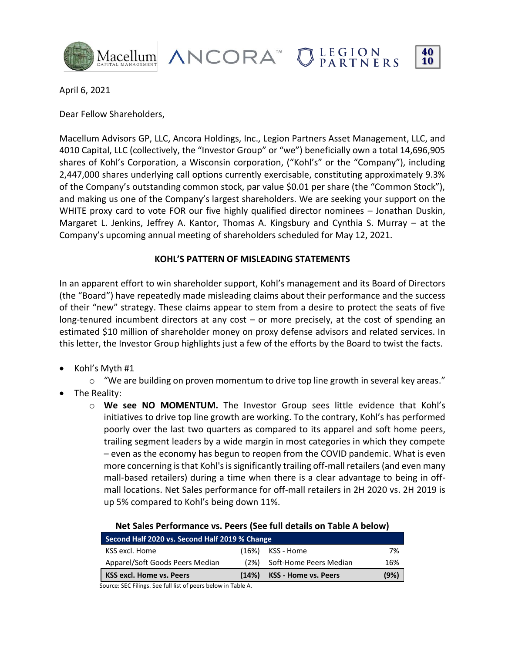

April 6, 2021

Dear Fellow Shareholders,

Macellum Advisors GP, LLC, Ancora Holdings, Inc., Legion Partners Asset Management, LLC, and 4010 Capital, LLC (collectively, the "Investor Group" or "we") beneficially own a total 14,696,905 shares of Kohl's Corporation, a Wisconsin corporation, ("Kohl's" or the "Company"), including 2,447,000 shares underlying call options currently exercisable, constituting approximately 9.3% of the Company's outstanding common stock, par value \$0.01 per share (the "Common Stock"), and making us one of the Company's largest shareholders. We are seeking your support on the WHITE proxy card to vote FOR our five highly qualified director nominees – Jonathan Duskin, Margaret L. Jenkins, Jeffrey A. Kantor, Thomas A. Kingsbury and Cynthia S. Murray – at the Company's upcoming annual meeting of shareholders scheduled for May 12, 2021.

### **KOHL'S PATTERN OF MISLEADING STATEMENTS**

In an apparent effort to win shareholder support, Kohl's management and its Board of Directors (the "Board") have repeatedly made misleading claims about their performance and the success of their "new" strategy. These claims appear to stem from a desire to protect the seats of five long-tenured incumbent directors at any cost – or more precisely, at the cost of spending an estimated \$10 million of shareholder money on proxy defense advisors and related services. In this letter, the Investor Group highlights just a few of the efforts by the Board to twist the facts.

• Kohl's Myth #1

 $\circ$  "We are building on proven momentum to drive top line growth in several key areas."

- The Reality:
	- o **We see NO MOMENTUM.** The Investor Group sees little evidence that Kohl's initiatives to drive top line growth are working. To the contrary, Kohl's has performed poorly over the last two quarters as compared to its apparel and soft home peers, trailing segment leaders by a wide margin in most categories in which they compete – even as the economy has begun to reopen from the COVID pandemic. What is even more concerning is that Kohl's is significantly trailing off-mall retailers (and even many mall-based retailers) during a time when there is a clear advantage to being in offmall locations. Net Sales performance for off-mall retailers in 2H 2020 vs. 2H 2019 is up 5% compared to Kohl's being down 11%.

#### **Net Sales Performance vs. Peers (See full details on Table A below)**

| Second Half 2020 vs. Second Half 2019 % Change |  |                             |      |  |  |
|------------------------------------------------|--|-----------------------------|------|--|--|
| KSS excl. Home                                 |  | $(16%)$ KSS - Home          | 7%   |  |  |
| Apparel/Soft Goods Peers Median                |  | (2%) Soft-Home Peers Median | 16%  |  |  |
| KSS excl. Home vs. Peers                       |  | (14%) KSS - Home vs. Peers  | (9%) |  |  |

Source: SEC Filings. See full list of peers below in Table A.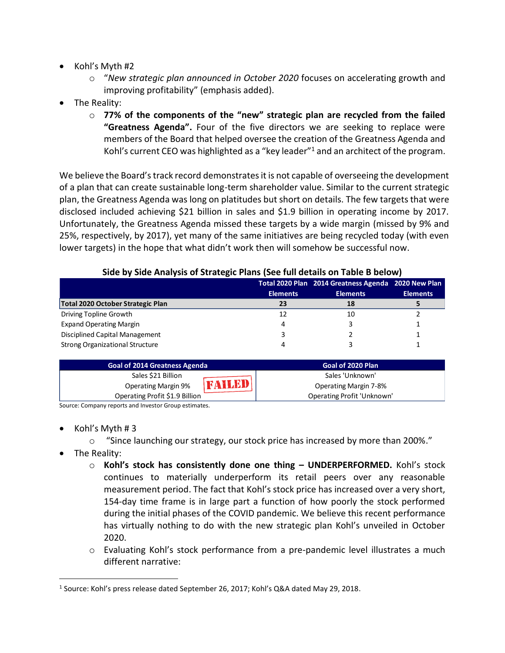- Kohl's Myth #2
	- o "*New strategic plan announced in October 2020* focuses on accelerating growth and improving profitability" (emphasis added).
- The Reality:
	- o **77% of the components of the "new" strategic plan are recycled from the failed "Greatness Agenda".** Four of the five directors we are seeking to replace were members of the Board that helped oversee the creation of the Greatness Agenda and Kohl's current CEO was highlighted as a "key leader" $1$  and an architect of the program.

We believe the Board's track record demonstrates it is not capable of overseeing the development of a plan that can create sustainable long-term shareholder value. Similar to the current strategic plan, the Greatness Agenda was long on platitudes but short on details. The few targets that were disclosed included achieving \$21 billion in sales and \$1.9 billion in operating income by 2017. Unfortunately, the Greatness Agenda missed these targets by a wide margin (missed by 9% and 25%, respectively, by 2017), yet many of the same initiatives are being recycled today (with even lower targets) in the hope that what didn't work then will somehow be successful now.

|                                        |                 | Total 2020 Plan 2014 Greatness Agenda 2020 New Plan |                 |
|----------------------------------------|-----------------|-----------------------------------------------------|-----------------|
|                                        | <b>Elements</b> | <b>Elements</b>                                     | <b>Elements</b> |
| Total 2020 October Strategic Plan      | 23              | 18                                                  |                 |
| Driving Topline Growth                 | 12              | 10                                                  |                 |
| <b>Expand Operating Margin</b>         | 4               |                                                     |                 |
| Disciplined Capital Management         |                 |                                                     |                 |
| <b>Strong Organizational Structure</b> |                 |                                                     |                 |

### **Side by Side Analysis of Strategic Plans (See full details on Table B below)**

| <b>Goal of 2014 Greatness Agenda</b> | Goal of 2020 Plan            |  |  |
|--------------------------------------|------------------------------|--|--|
| Sales \$21 Billion                   | Sales 'Unknown'              |  |  |
| FAILED<br><b>Operating Margin 9%</b> | <b>Operating Margin 7-8%</b> |  |  |
| Operating Profit \$1.9 Billion       | Operating Profit 'Unknown'   |  |  |

Source: Company reports and Investor Group estimates.

- Kohl's Myth # 3
	- $\circ$  "Since launching our strategy, our stock price has increased by more than 200%."
- The Reality:
	- o **Kohl's stock has consistently done one thing – UNDERPERFORMED.** Kohl's stock continues to materially underperform its retail peers over any reasonable measurement period. The fact that Kohl's stock price has increased over a very short, 154-day time frame is in large part a function of how poorly the stock performed during the initial phases of the COVID pandemic. We believe this recent performance has virtually nothing to do with the new strategic plan Kohl's unveiled in October 2020.
	- o Evaluating Kohl's stock performance from a pre-pandemic level illustrates a much different narrative:

 $^1$  Source: Kohl's press release dated September 26, 2017; Kohl's Q&A dated May 29, 2018.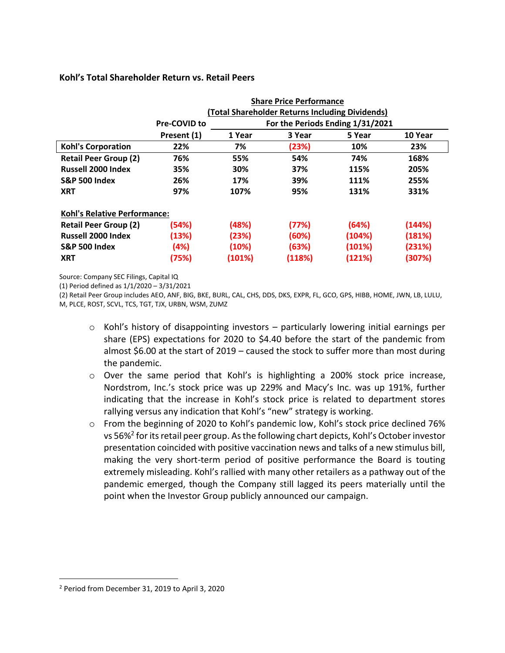### **Kohl's Total Shareholder Return vs. Retail Peers**

|                                     | <b>Share Price Performance</b>                   |        |                                                 |        |         |
|-------------------------------------|--------------------------------------------------|--------|-------------------------------------------------|--------|---------|
|                                     |                                                  |        | (Total Shareholder Returns Including Dividends) |        |         |
|                                     | For the Periods Ending 1/31/2021<br>Pre-COVID to |        |                                                 |        |         |
|                                     | Present (1)                                      | 1 Year | 3 Year                                          | 5 Year | 10 Year |
| <b>Kohl's Corporation</b>           | 22%                                              | 7%     | (23%)                                           | 10%    | 23%     |
| <b>Retail Peer Group (2)</b>        | 76%                                              | 55%    | 54%                                             | 74%    | 168%    |
| <b>Russell 2000 Index</b>           | 35%                                              | 30%    | 37%                                             | 115%   | 205%    |
| <b>S&amp;P 500 Index</b>            | 26%                                              | 17%    | 39%                                             | 111%   | 255%    |
| <b>XRT</b>                          | 97%                                              | 107%   | 95%                                             | 131%   | 331%    |
| <b>Kohl's Relative Performance:</b> |                                                  |        |                                                 |        |         |
| <b>Retail Peer Group (2)</b>        | (54%)                                            | (48%)  | (77%)                                           | (64%)  | (144%)  |
| <b>Russell 2000 Index</b>           | (13%)                                            | (23%)  | (60%)                                           | (104%) | (181%)  |
| <b>S&amp;P 500 Index</b>            | (4%)                                             | (10%)  | (63%)                                           | (101%) | (231%)  |
| <b>XRT</b>                          | (75%)                                            | (101%) | (118%)                                          | (121%) | (307%)  |

Source: Company SEC Filings, Capital IQ

(1) Period defined as 1/1/2020 – 3/31/2021

(2) Retail Peer Group includes AEO, ANF, BIG, BKE, BURL, CAL, CHS, DDS, DKS, EXPR, FL, GCO, GPS, HIBB, HOME, JWN, LB, LULU, M, PLCE, ROST, SCVL, TCS, TGT, TJX, URBN, WSM, ZUMZ

- $\circ$  Kohl's history of disappointing investors particularly lowering initial earnings per share (EPS) expectations for 2020 to \$4.40 before the start of the pandemic from almost \$6.00 at the start of 2019 – caused the stock to suffer more than most during the pandemic.
- o Over the same period that Kohl's is highlighting a 200% stock price increase, Nordstrom, Inc.'s stock price was up 229% and Macy's Inc. was up 191%, further indicating that the increase in Kohl's stock price is related to department stores rallying versus any indication that Kohl's "new" strategy is working.
- $\circ$  From the beginning of 2020 to Kohl's pandemic low, Kohl's stock price declined 76% vs 56%<sup>2</sup> for its retail peer group. As the following chart depicts, Kohl's October investor presentation coincided with positive vaccination news and talks of a new stimulus bill, making the very short-term period of positive performance the Board is touting extremely misleading. Kohl's rallied with many other retailers as a pathway out of the pandemic emerged, though the Company still lagged its peers materially until the point when the Investor Group publicly announced our campaign.

<sup>2</sup> Period from December 31, 2019 to April 3, 2020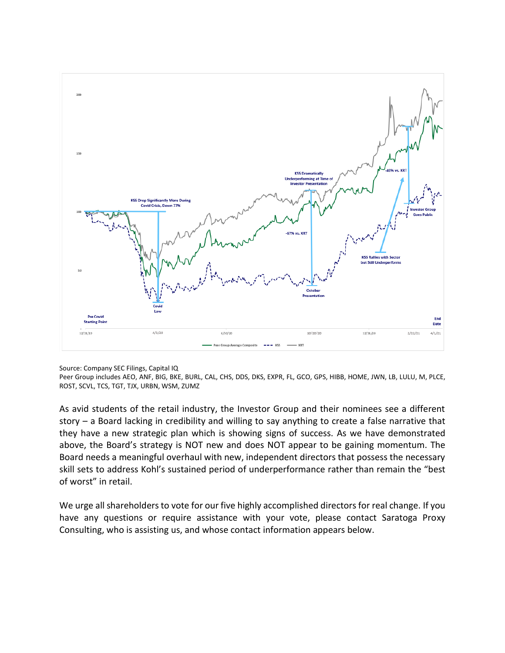

Source: Company SEC Filings, Capital IQ

Peer Group includes AEO, ANF, BIG, BKE, BURL, CAL, CHS, DDS, DKS, EXPR, FL, GCO, GPS, HIBB, HOME, JWN, LB, LULU, M, PLCE, ROST, SCVL, TCS, TGT, TJX, URBN, WSM, ZUMZ

As avid students of the retail industry, the Investor Group and their nominees see a different story – a Board lacking in credibility and willing to say anything to create a false narrative that they have a new strategic plan which is showing signs of success. As we have demonstrated above, the Board's strategy is NOT new and does NOT appear to be gaining momentum. The Board needs a meaningful overhaul with new, independent directors that possess the necessary skill sets to address Kohl's sustained period of underperformance rather than remain the "best of worst" in retail.

We urge all shareholders to vote for our five highly accomplished directors for real change. If you have any questions or require assistance with your vote, please contact Saratoga Proxy Consulting, who is assisting us, and whose contact information appears below.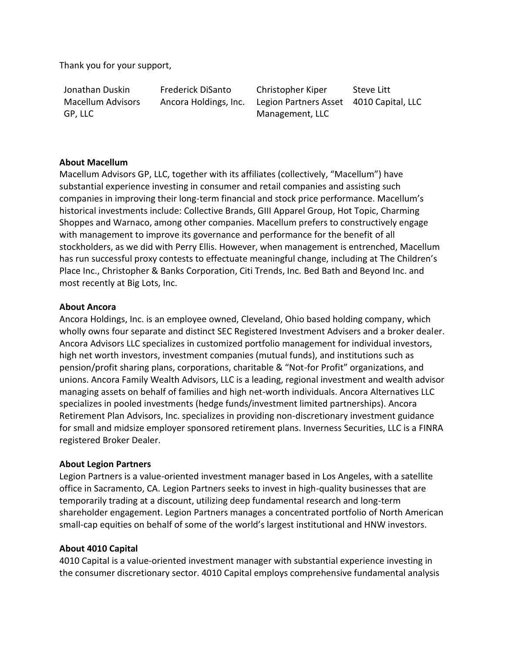Thank you for your support,

Jonathan Duskin Macellum Advisors GP, LLC

Frederick DiSanto Ancora Holdings, Inc. Christopher Kiper Legion Partners Asset Management, LLC Steve Litt

4010 Capital, LLC

# **About Macellum**

Macellum Advisors GP, LLC, together with its affiliates (collectively, "Macellum") have substantial experience investing in consumer and retail companies and assisting such companies in improving their long-term financial and stock price performance. Macellum's historical investments include: Collective Brands, GIII Apparel Group, Hot Topic, Charming Shoppes and Warnaco, among other companies. Macellum prefers to constructively engage with management to improve its governance and performance for the benefit of all stockholders, as we did with Perry Ellis. However, when management is entrenched, Macellum has run successful proxy contests to effectuate meaningful change, including at The Children's Place Inc., Christopher & Banks Corporation, Citi Trends, Inc. Bed Bath and Beyond Inc. and most recently at Big Lots, Inc.

# **About Ancora**

Ancora Holdings, Inc. is an employee owned, Cleveland, Ohio based holding company, which wholly owns four separate and distinct SEC Registered Investment Advisers and a broker dealer. Ancora Advisors LLC specializes in customized portfolio management for individual investors, high net worth investors, investment companies (mutual funds), and institutions such as pension/profit sharing plans, corporations, charitable & "Not-for Profit" organizations, and unions. Ancora Family Wealth Advisors, LLC is a leading, regional investment and wealth advisor managing assets on behalf of families and high net-worth individuals. Ancora Alternatives LLC specializes in pooled investments (hedge funds/investment limited partnerships). Ancora Retirement Plan Advisors, Inc. specializes in providing non-discretionary investment guidance for small and midsize employer sponsored retirement plans. Inverness Securities, LLC is a FINRA registered Broker Dealer.

# **About Legion Partners**

Legion Partners is a value-oriented investment manager based in Los Angeles, with a satellite office in Sacramento, CA. Legion Partners seeks to invest in high-quality businesses that are temporarily trading at a discount, utilizing deep fundamental research and long-term shareholder engagement. Legion Partners manages a concentrated portfolio of North American small-cap equities on behalf of some of the world's largest institutional and HNW investors.

# **About 4010 Capital**

4010 Capital is a value-oriented investment manager with substantial experience investing in the consumer discretionary sector. 4010 Capital employs comprehensive fundamental analysis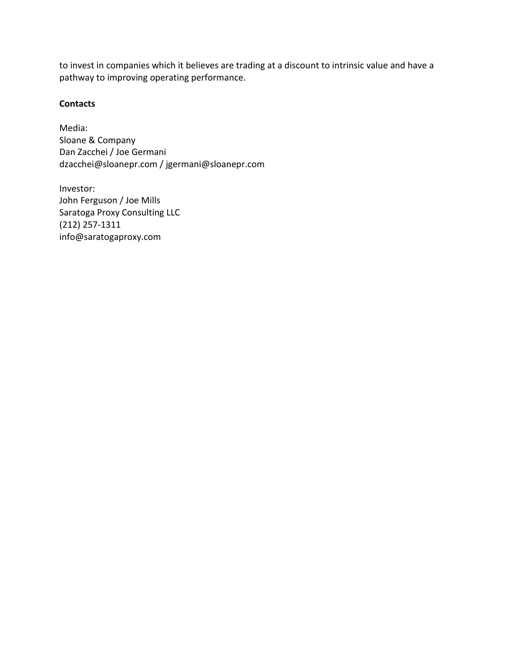to invest in companies which it believes are trading at a discount to intrinsic value and have a pathway to improving operating performance.

### **Contacts**

Media: Sloane & Company Dan Zacchei / Joe Germani dzacchei@sloanepr.com / jgermani@sloanepr.com

Investor: John Ferguson / Joe Mills Saratoga Proxy Consulting LLC (212) 257-1311 info@saratogaproxy.com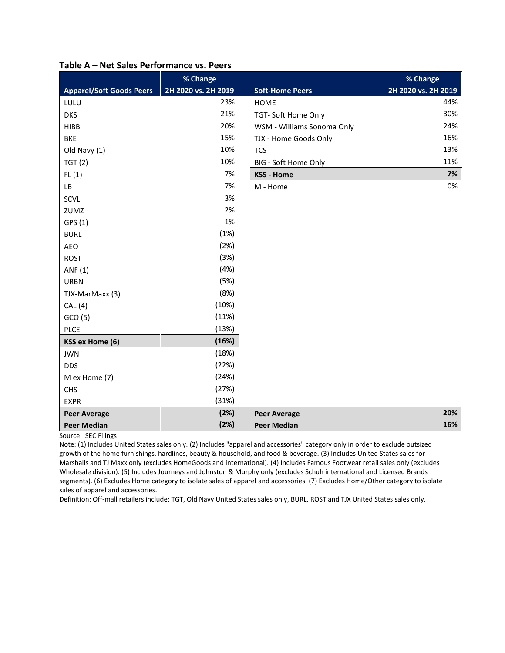|                                 | % Change            |                             | % Change            |
|---------------------------------|---------------------|-----------------------------|---------------------|
| <b>Apparel/Soft Goods Peers</b> | 2H 2020 vs. 2H 2019 | <b>Soft-Home Peers</b>      | 2H 2020 vs. 2H 2019 |
| LULU                            | 23%                 | <b>HOME</b>                 | 44%                 |
| <b>DKS</b>                      | 21%                 | TGT- Soft Home Only         | 30%                 |
| <b>HIBB</b>                     | 20%                 | WSM - Williams Sonoma Only  | 24%                 |
| <b>BKE</b>                      | 15%                 | TJX - Home Goods Only       | 16%                 |
| Old Navy (1)                    | 10%                 | <b>TCS</b>                  | 13%                 |
| TGT(2)                          | 10%                 | <b>BIG - Soft Home Only</b> | 11%                 |
| FL(1)                           | 7%                  | <b>KSS - Home</b>           | 7%                  |
| LB                              | 7%                  | M - Home                    | 0%                  |
| SCVL                            | 3%                  |                             |                     |
| ZUMZ                            | 2%                  |                             |                     |
| GPS (1)                         | 1%                  |                             |                     |
| <b>BURL</b>                     | (1%)                |                             |                     |
| <b>AEO</b>                      | (2%)                |                             |                     |
| <b>ROST</b>                     | (3%)                |                             |                     |
| ANF (1)                         | (4%)                |                             |                     |
| <b>URBN</b>                     | (5%)                |                             |                     |
| TJX-MarMaxx (3)                 | (8%)                |                             |                     |
| CAL(4)                          | (10%)               |                             |                     |
| GCO (5)                         | (11%)               |                             |                     |
| <b>PLCE</b>                     | (13%)               |                             |                     |
| <b>KSS ex Home (6)</b>          | (16%)               |                             |                     |
| <b>JWN</b>                      | (18%)               |                             |                     |
| <b>DDS</b>                      | (22%)               |                             |                     |
| M ex Home (7)                   | (24%)               |                             |                     |
| CHS                             | (27%)               |                             |                     |
| <b>EXPR</b>                     | (31%)               |                             |                     |
| <b>Peer Average</b>             | (2%)                | <b>Peer Average</b>         | 20%                 |
| <b>Peer Median</b>              | (2%)                | <b>Peer Median</b>          | 16%                 |

#### **Table A – Net Sales Performance vs. Peers**

Source: SEC Filings

Note: (1) Includes United States sales only. (2) Includes "apparel and accessories" category only in order to exclude outsized growth of the home furnishings, hardlines, beauty & household, and food & beverage. (3) Includes United States sales for Marshalls and TJ Maxx only (excludes HomeGoods and international). (4) Includes Famous Footwear retail sales only (excludes Wholesale division). (5) Includes Journeys and Johnston & Murphy only (excludes Schuh international and Licensed Brands segments). (6) Excludes Home category to isolate sales of apparel and accessories. (7) Excludes Home/Other category to isolate sales of apparel and accessories.

Definition: Off-mall retailers include: TGT, Old Navy United States sales only, BURL, ROST and TJX United States sales only.